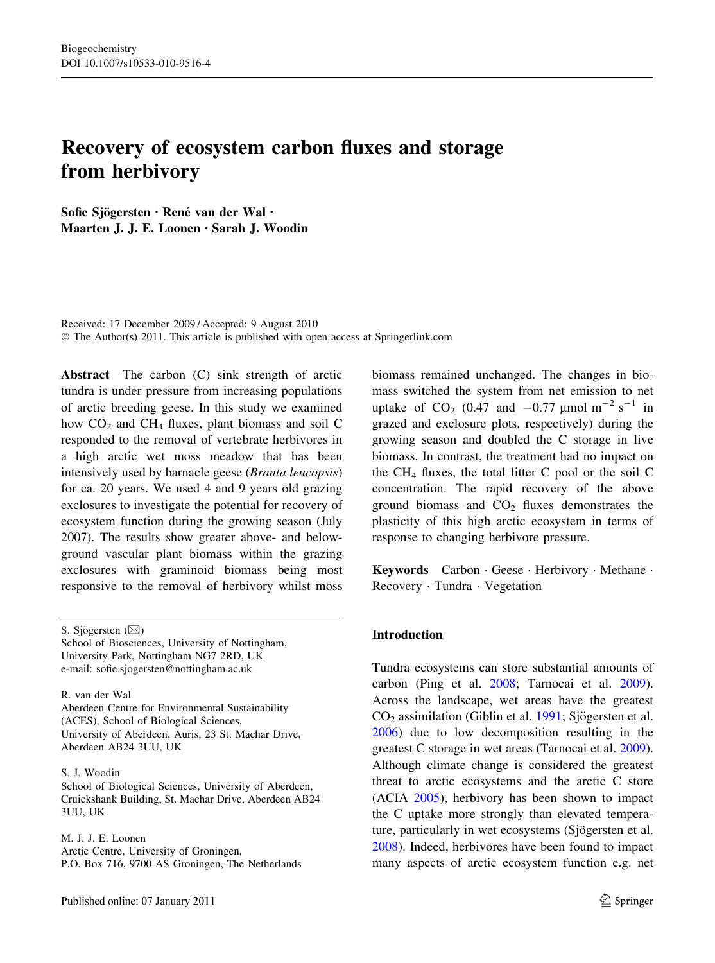# Recovery of ecosystem carbon fluxes and storage from herbivory

Sofie Sjögersten · René van der Wal · Maarten J. J. E. Loonen • Sarah J. Woodin

Received: 17 December 2009 / Accepted: 9 August 2010 © The Author(s) 2011. This article is published with open access at Springerlink.com

Abstract The carbon (C) sink strength of arctic tundra is under pressure from increasing populations of arctic breeding geese. In this study we examined how  $CO<sub>2</sub>$  and CH<sub>4</sub> fluxes, plant biomass and soil C responded to the removal of vertebrate herbivores in a high arctic wet moss meadow that has been intensively used by barnacle geese (Branta leucopsis) for ca. 20 years. We used 4 and 9 years old grazing exclosures to investigate the potential for recovery of ecosystem function during the growing season (July 2007). The results show greater above- and belowground vascular plant biomass within the grazing exclosures with graminoid biomass being most responsive to the removal of herbivory whilst moss

S. Sjögersten  $(\boxtimes)$ 

School of Biosciences, University of Nottingham, University Park, Nottingham NG7 2RD, UK e-mail: sofie.sjogersten@nottingham.ac.uk

R. van der Wal Aberdeen Centre for Environmental Sustainability (ACES), School of Biological Sciences, University of Aberdeen, Auris, 23 St. Machar Drive, Aberdeen AB24 3UU, UK

S. J. Woodin

School of Biological Sciences, University of Aberdeen, Cruickshank Building, St. Machar Drive, Aberdeen AB24 3UU, UK

M. J. J. E. Loonen Arctic Centre, University of Groningen, P.O. Box 716, 9700 AS Groningen, The Netherlands biomass remained unchanged. The changes in biomass switched the system from net emission to net uptake of  $CO_2$  (0.47 and  $-0.77$  µmol m<sup>-2</sup> s<sup>-1</sup> in grazed and exclosure plots, respectively) during the growing season and doubled the C storage in live biomass. In contrast, the treatment had no impact on the  $CH_4$  fluxes, the total litter C pool or the soil C concentration. The rapid recovery of the above ground biomass and  $CO<sub>2</sub>$  fluxes demonstrates the plasticity of this high arctic ecosystem in terms of response to changing herbivore pressure.

Keywords Carbon · Geese · Herbivory · Methane · Recovery - Tundra - Vegetation

# Introduction

Tundra ecosystems can store substantial amounts of carbon (Ping et al. [2008;](#page-13-0) Tarnocai et al. [2009](#page-13-0)). Across the landscape, wet areas have the greatest  $CO<sub>2</sub>$  assimilation (Giblin et al. [1991](#page-12-0); Sjögersten et al. [2006\)](#page-13-0) due to low decomposition resulting in the greatest C storage in wet areas (Tarnocai et al. [2009](#page-13-0)). Although climate change is considered the greatest threat to arctic ecosystems and the arctic C store (ACIA [2005\)](#page-12-0), herbivory has been shown to impact the C uptake more strongly than elevated temperature, particularly in wet ecosystems (Sjögersten et al. [2008\)](#page-13-0). Indeed, herbivores have been found to impact many aspects of arctic ecosystem function e.g. net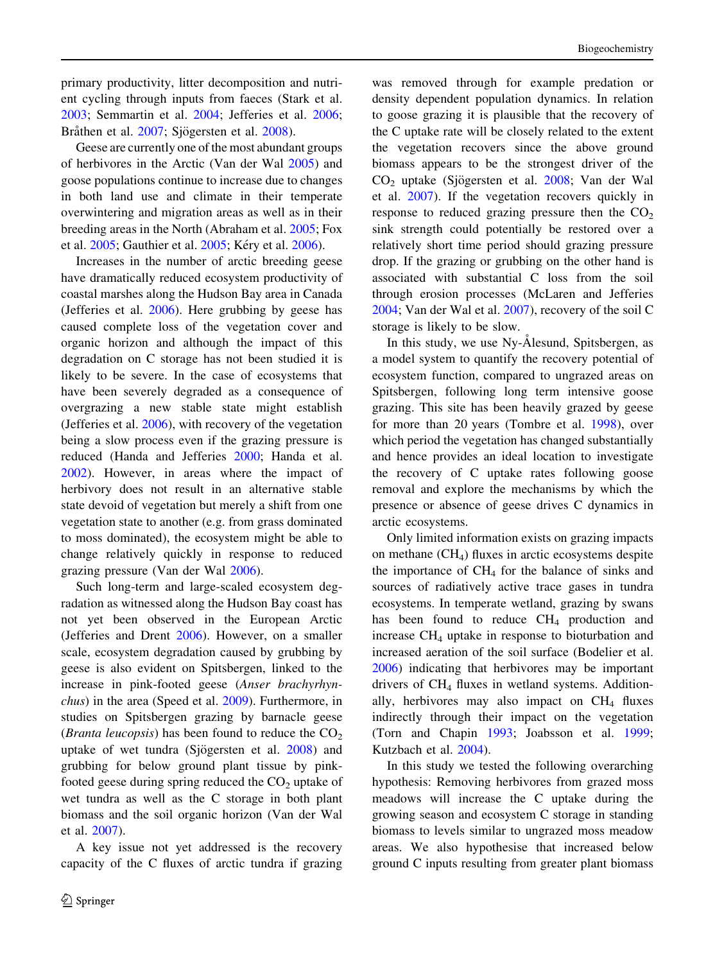primary productivity, litter decomposition and nutrient cycling through inputs from faeces (Stark et al. [2003;](#page-13-0) Semmartin et al. [2004](#page-13-0); Jefferies et al. [2006](#page-12-0); Bråthen et al. [2007](#page-12-0); Sjögersten et al. [2008\)](#page-13-0).

Geese are currently one of the most abundant groups of herbivores in the Arctic (Van der Wal [2005\)](#page-13-0) and goose populations continue to increase due to changes in both land use and climate in their temperate overwintering and migration areas as well as in their breeding areas in the North (Abraham et al. [2005;](#page-12-0) Fox et al. [2005;](#page-12-0) Gauthier et al. 2005; Kéry et al. [2006](#page-12-0)).

Increases in the number of arctic breeding geese have dramatically reduced ecosystem productivity of coastal marshes along the Hudson Bay area in Canada (Jefferies et al. [2006\)](#page-12-0). Here grubbing by geese has caused complete loss of the vegetation cover and organic horizon and although the impact of this degradation on C storage has not been studied it is likely to be severe. In the case of ecosystems that have been severely degraded as a consequence of overgrazing a new stable state might establish (Jefferies et al. [2006\)](#page-12-0), with recovery of the vegetation being a slow process even if the grazing pressure is reduced (Handa and Jefferies [2000](#page-12-0); Handa et al. [2002\)](#page-12-0). However, in areas where the impact of herbivory does not result in an alternative stable state devoid of vegetation but merely a shift from one vegetation state to another (e.g. from grass dominated to moss dominated), the ecosystem might be able to change relatively quickly in response to reduced grazing pressure (Van der Wal [2006](#page-13-0)).

Such long-term and large-scaled ecosystem degradation as witnessed along the Hudson Bay coast has not yet been observed in the European Arctic (Jefferies and Drent [2006\)](#page-12-0). However, on a smaller scale, ecosystem degradation caused by grubbing by geese is also evident on Spitsbergen, linked to the increase in pink-footed geese (Anser brachyrhynchus) in the area (Speed et al. [2009](#page-13-0)). Furthermore, in studies on Spitsbergen grazing by barnacle geese (*Branta leucopsis*) has been found to reduce the  $CO<sub>2</sub>$ uptake of wet tundra (Sjögersten et al.  $2008$ ) and grubbing for below ground plant tissue by pinkfooted geese during spring reduced the  $CO<sub>2</sub>$  uptake of wet tundra as well as the C storage in both plant biomass and the soil organic horizon (Van der Wal et al. [2007](#page-13-0)).

A key issue not yet addressed is the recovery capacity of the C fluxes of arctic tundra if grazing was removed through for example predation or density dependent population dynamics. In relation to goose grazing it is plausible that the recovery of the C uptake rate will be closely related to the extent the vegetation recovers since the above ground biomass appears to be the strongest driver of the  $CO<sub>2</sub>$  uptake (Sjögersten et al. [2008](#page-13-0); Van der Wal et al. [2007\)](#page-13-0). If the vegetation recovers quickly in response to reduced grazing pressure then the  $CO<sub>2</sub>$ sink strength could potentially be restored over a relatively short time period should grazing pressure drop. If the grazing or grubbing on the other hand is associated with substantial C loss from the soil through erosion processes (McLaren and Jefferies [2004;](#page-13-0) Van der Wal et al. [2007\)](#page-13-0), recovery of the soil C storage is likely to be slow.

In this study, we use Ny-Ålesund, Spitsbergen, as a model system to quantify the recovery potential of ecosystem function, compared to ungrazed areas on Spitsbergen, following long term intensive goose grazing. This site has been heavily grazed by geese for more than 20 years (Tombre et al. [1998](#page-13-0)), over which period the vegetation has changed substantially and hence provides an ideal location to investigate the recovery of C uptake rates following goose removal and explore the mechanisms by which the presence or absence of geese drives C dynamics in arctic ecosystems.

Only limited information exists on grazing impacts on methane  $(CH<sub>4</sub>)$  fluxes in arctic ecosystems despite the importance of  $CH<sub>4</sub>$  for the balance of sinks and sources of radiatively active trace gases in tundra ecosystems. In temperate wetland, grazing by swans has been found to reduce  $CH<sub>4</sub>$  production and increase  $CH<sub>4</sub>$  uptake in response to bioturbation and increased aeration of the soil surface (Bodelier et al. [2006\)](#page-12-0) indicating that herbivores may be important drivers of CH4 fluxes in wetland systems. Additionally, herbivores may also impact on  $CH<sub>4</sub>$  fluxes indirectly through their impact on the vegetation (Torn and Chapin [1993;](#page-13-0) Joabsson et al. [1999](#page-12-0); Kutzbach et al. [2004](#page-12-0)).

In this study we tested the following overarching hypothesis: Removing herbivores from grazed moss meadows will increase the C uptake during the growing season and ecosystem C storage in standing biomass to levels similar to ungrazed moss meadow areas. We also hypothesise that increased below ground C inputs resulting from greater plant biomass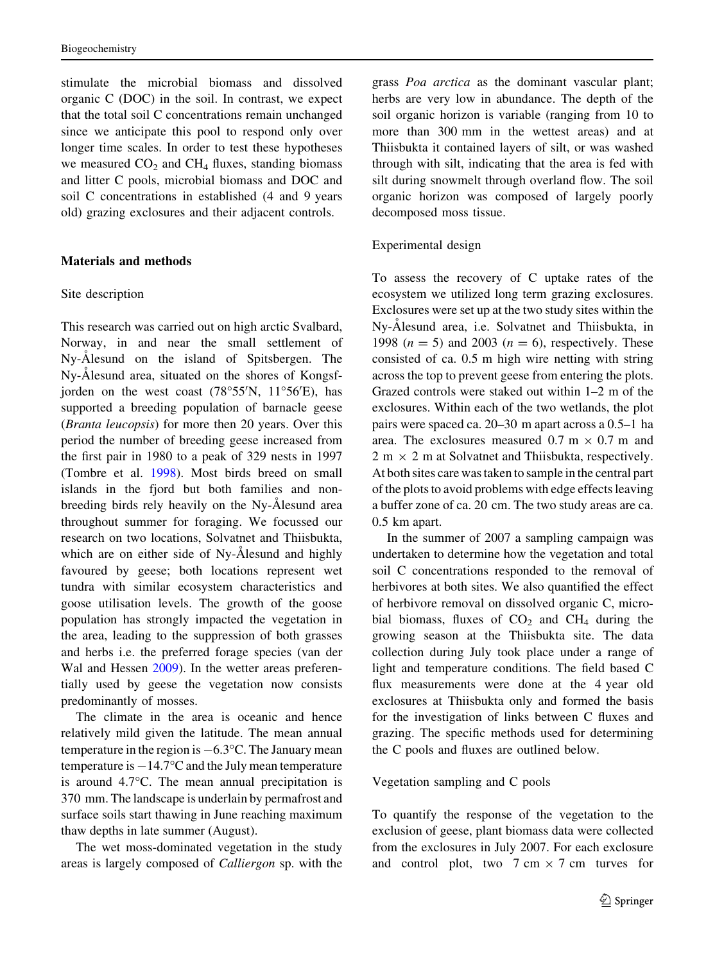stimulate the microbial biomass and dissolved organic C (DOC) in the soil. In contrast, we expect that the total soil C concentrations remain unchanged since we anticipate this pool to respond only over longer time scales. In order to test these hypotheses we measured  $CO<sub>2</sub>$  and  $CH<sub>4</sub>$  fluxes, standing biomass and litter C pools, microbial biomass and DOC and soil C concentrations in established (4 and 9 years old) grazing exclosures and their adjacent controls.

# Materials and methods

# Site description

This research was carried out on high arctic Svalbard, Norway, in and near the small settlement of Ny-Alesund on the island of Spitsbergen. The Ny-Ålesund area, situated on the shores of Kongsfjorden on the west coast  $(78°55'N, 11°56'E)$ , has supported a breeding population of barnacle geese (Branta leucopsis) for more then 20 years. Over this period the number of breeding geese increased from the first pair in 1980 to a peak of 329 nests in 1997 (Tombre et al. [1998\)](#page-13-0). Most birds breed on small islands in the fjord but both families and nonbreeding birds rely heavily on the Ny-Alesund area throughout summer for foraging. We focussed our research on two locations, Solvatnet and Thiisbukta, which are on either side of Ny- $\AA$ lesund and highly favoured by geese; both locations represent wet tundra with similar ecosystem characteristics and goose utilisation levels. The growth of the goose population has strongly impacted the vegetation in the area, leading to the suppression of both grasses and herbs i.e. the preferred forage species (van der Wal and Hessen [2009\)](#page-13-0). In the wetter areas preferentially used by geese the vegetation now consists predominantly of mosses.

The climate in the area is oceanic and hence relatively mild given the latitude. The mean annual temperature in the region is  $-6.3$ °C. The January mean temperature is  $-14.7$ °C and the July mean temperature is around  $4.7^{\circ}$ C. The mean annual precipitation is 370 mm. The landscape is underlain by permafrost and surface soils start thawing in June reaching maximum thaw depths in late summer (August).

The wet moss-dominated vegetation in the study areas is largely composed of Calliergon sp. with the grass Poa arctica as the dominant vascular plant; herbs are very low in abundance. The depth of the soil organic horizon is variable (ranging from 10 to more than 300 mm in the wettest areas) and at Thiisbukta it contained layers of silt, or was washed through with silt, indicating that the area is fed with silt during snowmelt through overland flow. The soil organic horizon was composed of largely poorly decomposed moss tissue.

## Experimental design

To assess the recovery of C uptake rates of the ecosystem we utilized long term grazing exclosures. Exclosures were set up at the two study sites within the Ny-Ålesund area, i.e. Solvatnet and Thiisbukta, in 1998 ( $n = 5$ ) and 2003 ( $n = 6$ ), respectively. These consisted of ca. 0.5 m high wire netting with string across the top to prevent geese from entering the plots. Grazed controls were staked out within 1–2 m of the exclosures. Within each of the two wetlands, the plot pairs were spaced ca. 20–30 m apart across a 0.5–1 ha area. The exclosures measured 0.7 m  $\times$  0.7 m and  $2 m \times 2 m$  at Solvatnet and Thiisbukta, respectively. At both sites care was taken to sample in the central part of the plots to avoid problems with edge effects leaving a buffer zone of ca. 20 cm. The two study areas are ca. 0.5 km apart.

In the summer of 2007 a sampling campaign was undertaken to determine how the vegetation and total soil C concentrations responded to the removal of herbivores at both sites. We also quantified the effect of herbivore removal on dissolved organic C, microbial biomass, fluxes of  $CO<sub>2</sub>$  and  $CH<sub>4</sub>$  during the growing season at the Thiisbukta site. The data collection during July took place under a range of light and temperature conditions. The field based C flux measurements were done at the 4 year old exclosures at Thiisbukta only and formed the basis for the investigation of links between C fluxes and grazing. The specific methods used for determining the C pools and fluxes are outlined below.

# Vegetation sampling and C pools

To quantify the response of the vegetation to the exclusion of geese, plant biomass data were collected from the exclosures in July 2007. For each exclosure and control plot, two  $7 \text{ cm} \times 7 \text{ cm}$  turves for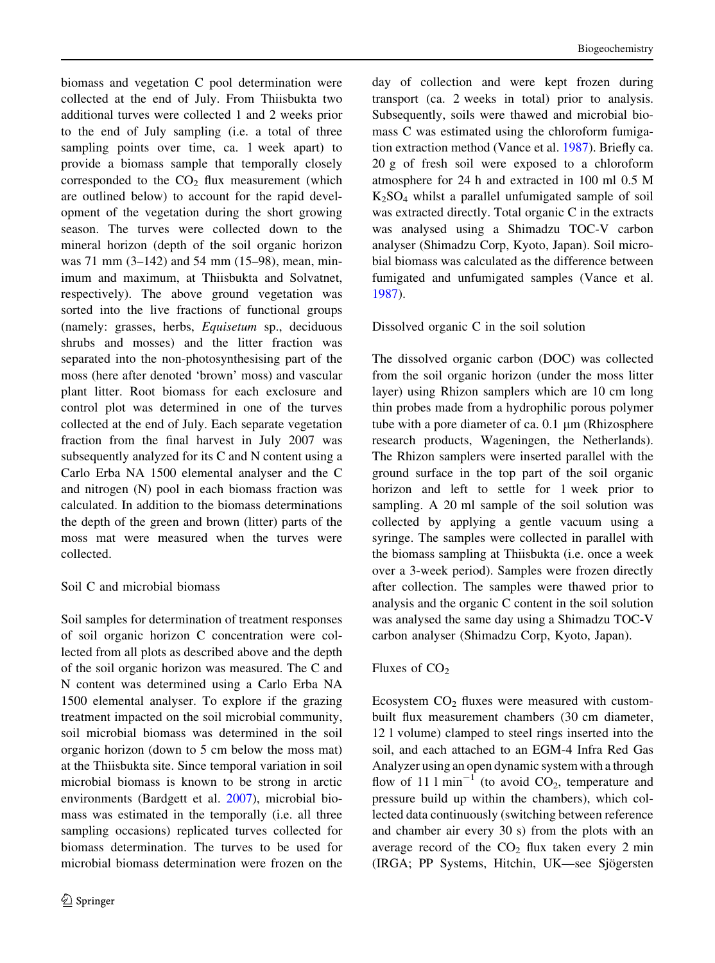biomass and vegetation C pool determination were collected at the end of July. From Thiisbukta two additional turves were collected 1 and 2 weeks prior to the end of July sampling (i.e. a total of three sampling points over time, ca. 1 week apart) to provide a biomass sample that temporally closely corresponded to the  $CO<sub>2</sub>$  flux measurement (which are outlined below) to account for the rapid development of the vegetation during the short growing season. The turves were collected down to the mineral horizon (depth of the soil organic horizon was 71 mm (3–142) and 54 mm (15–98), mean, minimum and maximum, at Thiisbukta and Solvatnet, respectively). The above ground vegetation was sorted into the live fractions of functional groups (namely: grasses, herbs, Equisetum sp., deciduous shrubs and mosses) and the litter fraction was separated into the non-photosynthesising part of the moss (here after denoted 'brown' moss) and vascular plant litter. Root biomass for each exclosure and control plot was determined in one of the turves collected at the end of July. Each separate vegetation fraction from the final harvest in July 2007 was subsequently analyzed for its C and N content using a Carlo Erba NA 1500 elemental analyser and the C and nitrogen (N) pool in each biomass fraction was calculated. In addition to the biomass determinations the depth of the green and brown (litter) parts of the moss mat were measured when the turves were collected.

# Soil C and microbial biomass

Soil samples for determination of treatment responses of soil organic horizon C concentration were collected from all plots as described above and the depth of the soil organic horizon was measured. The C and N content was determined using a Carlo Erba NA 1500 elemental analyser. To explore if the grazing treatment impacted on the soil microbial community, soil microbial biomass was determined in the soil organic horizon (down to 5 cm below the moss mat) at the Thiisbukta site. Since temporal variation in soil microbial biomass is known to be strong in arctic environments (Bardgett et al. [2007](#page-12-0)), microbial biomass was estimated in the temporally (i.e. all three sampling occasions) replicated turves collected for biomass determination. The turves to be used for microbial biomass determination were frozen on the

day of collection and were kept frozen during transport (ca. 2 weeks in total) prior to analysis. Subsequently, soils were thawed and microbial biomass C was estimated using the chloroform fumigation extraction method (Vance et al. [1987\)](#page-13-0). Briefly ca. 20 g of fresh soil were exposed to a chloroform atmosphere for 24 h and extracted in 100 ml 0.5 M  $K<sub>2</sub>SO<sub>4</sub>$  whilst a parallel unfumigated sample of soil was extracted directly. Total organic C in the extracts was analysed using a Shimadzu TOC-V carbon analyser (Shimadzu Corp, Kyoto, Japan). Soil microbial biomass was calculated as the difference between fumigated and unfumigated samples (Vance et al. [1987\)](#page-13-0).

# Dissolved organic C in the soil solution

The dissolved organic carbon (DOC) was collected from the soil organic horizon (under the moss litter layer) using Rhizon samplers which are 10 cm long thin probes made from a hydrophilic porous polymer tube with a pore diameter of ca.  $0.1 \mu m$  (Rhizosphere research products, Wageningen, the Netherlands). The Rhizon samplers were inserted parallel with the ground surface in the top part of the soil organic horizon and left to settle for 1 week prior to sampling. A 20 ml sample of the soil solution was collected by applying a gentle vacuum using a syringe. The samples were collected in parallel with the biomass sampling at Thiisbukta (i.e. once a week over a 3-week period). Samples were frozen directly after collection. The samples were thawed prior to analysis and the organic C content in the soil solution was analysed the same day using a Shimadzu TOC-V carbon analyser (Shimadzu Corp, Kyoto, Japan).

# Fluxes of  $CO<sub>2</sub>$

Ecosystem  $CO<sub>2</sub>$  fluxes were measured with custombuilt flux measurement chambers (30 cm diameter, 12 l volume) clamped to steel rings inserted into the soil, and each attached to an EGM-4 Infra Red Gas Analyzer using an open dynamic system with a through flow of 11 l min<sup>-1</sup> (to avoid  $CO_2$ , temperature and pressure build up within the chambers), which collected data continuously (switching between reference and chamber air every 30 s) from the plots with an average record of the  $CO<sub>2</sub>$  flux taken every 2 min (IRGA; PP Systems, Hitchin, UK—see Sjögersten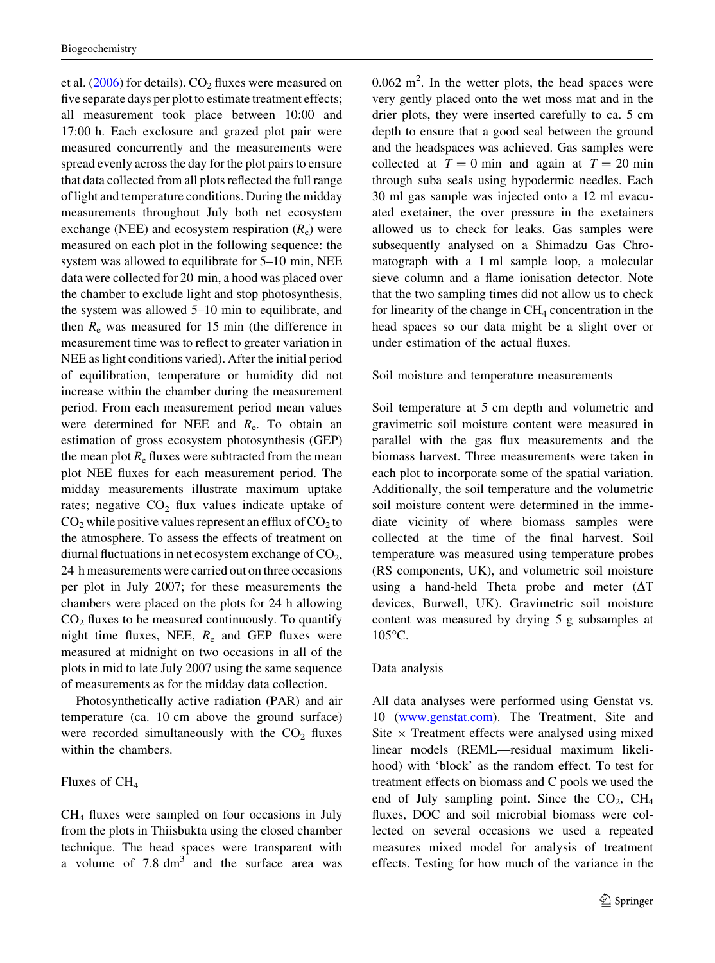et al.  $(2006)$  $(2006)$  for details).  $CO<sub>2</sub>$  fluxes were measured on five separate days per plot to estimate treatment effects; all measurement took place between 10:00 and 17:00 h. Each exclosure and grazed plot pair were measured concurrently and the measurements were spread evenly across the day for the plot pairs to ensure that data collected from all plots reflected the full range of light and temperature conditions. During the midday measurements throughout July both net ecosystem exchange (NEE) and ecosystem respiration  $(R_e)$  were measured on each plot in the following sequence: the system was allowed to equilibrate for 5–10 min, NEE data were collected for 20 min, a hood was placed over the chamber to exclude light and stop photosynthesis, the system was allowed 5–10 min to equilibrate, and then  $R_e$  was measured for 15 min (the difference in measurement time was to reflect to greater variation in NEE as light conditions varied). After the initial period of equilibration, temperature or humidity did not increase within the chamber during the measurement period. From each measurement period mean values were determined for NEE and  $R_e$ . To obtain an estimation of gross ecosystem photosynthesis (GEP) the mean plot  $R_e$  fluxes were subtracted from the mean plot NEE fluxes for each measurement period. The midday measurements illustrate maximum uptake rates; negative  $CO<sub>2</sub>$  flux values indicate uptake of  $CO<sub>2</sub>$  while positive values represent an efflux of  $CO<sub>2</sub>$  to the atmosphere. To assess the effects of treatment on diurnal fluctuations in net ecosystem exchange of  $CO<sub>2</sub>$ , 24 h measurements were carried out on three occasions per plot in July 2007; for these measurements the chambers were placed on the plots for 24 h allowing  $CO<sub>2</sub>$  fluxes to be measured continuously. To quantify night time fluxes, NEE,  $R_e$  and GEP fluxes were measured at midnight on two occasions in all of the plots in mid to late July 2007 using the same sequence of measurements as for the midday data collection.

Photosynthetically active radiation (PAR) and air temperature (ca. 10 cm above the ground surface) were recorded simultaneously with the  $CO<sub>2</sub>$  fluxes within the chambers.

## Fluxes of  $CH<sub>4</sub>$

CH4 fluxes were sampled on four occasions in July from the plots in Thiisbukta using the closed chamber technique. The head spaces were transparent with a volume of  $7.8 \text{ dm}^3$  and the surface area was

 $0.062 \text{ m}^2$ . In the wetter plots, the head spaces were very gently placed onto the wet moss mat and in the drier plots, they were inserted carefully to ca. 5 cm depth to ensure that a good seal between the ground and the headspaces was achieved. Gas samples were collected at  $T = 0$  min and again at  $T = 20$  min through suba seals using hypodermic needles. Each 30 ml gas sample was injected onto a 12 ml evacuated exetainer, the over pressure in the exetainers allowed us to check for leaks. Gas samples were subsequently analysed on a Shimadzu Gas Chromatograph with a 1 ml sample loop, a molecular sieve column and a flame ionisation detector. Note that the two sampling times did not allow us to check for linearity of the change in  $CH<sub>4</sub>$  concentration in the head spaces so our data might be a slight over or under estimation of the actual fluxes.

#### Soil moisture and temperature measurements

Soil temperature at 5 cm depth and volumetric and gravimetric soil moisture content were measured in parallel with the gas flux measurements and the biomass harvest. Three measurements were taken in each plot to incorporate some of the spatial variation. Additionally, the soil temperature and the volumetric soil moisture content were determined in the immediate vicinity of where biomass samples were collected at the time of the final harvest. Soil temperature was measured using temperature probes (RS components, UK), and volumetric soil moisture using a hand-held Theta probe and meter  $(\Delta T)$ devices, Burwell, UK). Gravimetric soil moisture content was measured by drying 5 g subsamples at 105°C.

### Data analysis

All data analyses were performed using Genstat vs. 10 [\(www.genstat.com](http://www.genstat.com)). The Treatment, Site and Site  $\times$  Treatment effects were analysed using mixed linear models (REML—residual maximum likelihood) with 'block' as the random effect. To test for treatment effects on biomass and C pools we used the end of July sampling point. Since the  $CO<sub>2</sub>$ ,  $CH<sub>4</sub>$ fluxes, DOC and soil microbial biomass were collected on several occasions we used a repeated measures mixed model for analysis of treatment effects. Testing for how much of the variance in the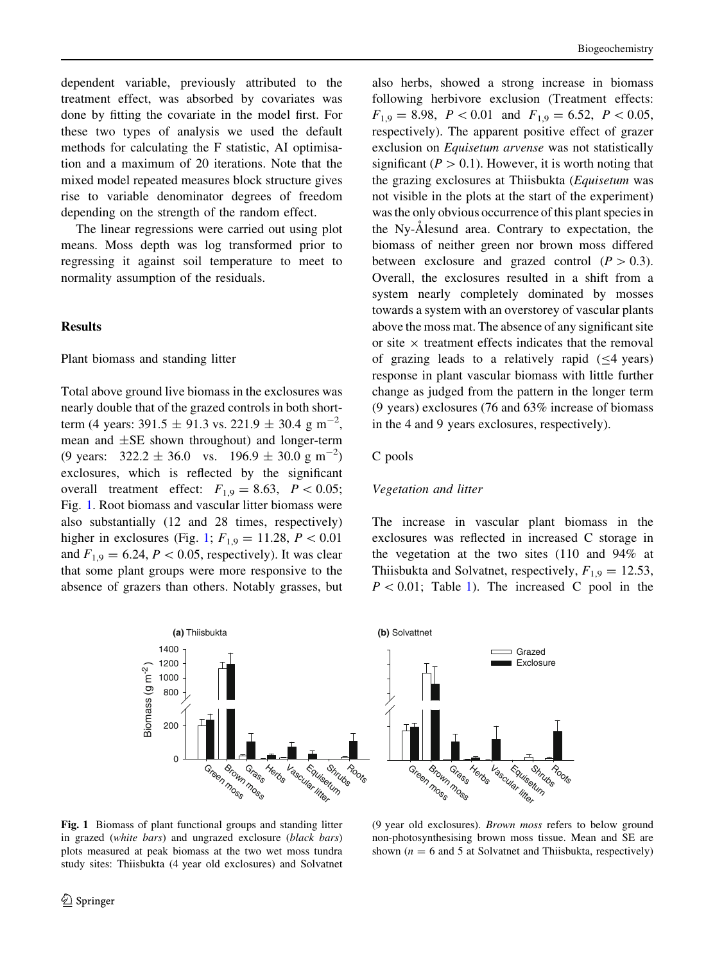dependent variable, previously attributed to the treatment effect, was absorbed by covariates was done by fitting the covariate in the model first. For these two types of analysis we used the default methods for calculating the F statistic, AI optimisation and a maximum of 20 iterations. Note that the mixed model repeated measures block structure gives rise to variable denominator degrees of freedom depending on the strength of the random effect.

The linear regressions were carried out using plot means. Moss depth was log transformed prior to regressing it against soil temperature to meet to normality assumption of the residuals.

#### Results

#### Plant biomass and standing litter

Total above ground live biomass in the exclosures was nearly double that of the grazed controls in both shortterm (4 years:  $391.5 \pm 91.3$  vs.  $221.9 \pm 30.4$  g m<sup>-2</sup>, mean and ±SE shown throughout) and longer-term (9 years:  $322.2 \pm 36.0$  vs.  $196.9 \pm 30.0$  g m<sup>-2</sup>) exclosures, which is reflected by the significant overall treatment effect:  $F_{1,9} = 8.63$ ,  $P \lt 0.05$ ; Fig. 1. Root biomass and vascular litter biomass were also substantially (12 and 28 times, respectively) higher in exclosures (Fig. 1;  $F_{1,9} = 11.28, P < 0.01$ and  $F_{1,9} = 6.24, P < 0.05$ , respectively). It was clear that some plant groups were more responsive to the absence of grazers than others. Notably grasses, but also herbs, showed a strong increase in biomass following herbivore exclusion (Treatment effects:  $F_{1,9} = 8.98$ ,  $P \lt 0.01$  and  $F_{1,9} = 6.52$ ,  $P \lt 0.05$ , respectively). The apparent positive effect of grazer exclusion on Equisetum arvense was not statistically significant ( $P > 0.1$ ). However, it is worth noting that the grazing exclosures at Thiisbukta (Equisetum was not visible in the plots at the start of the experiment) was the only obvious occurrence of this plant species in the Ny-Alesund area. Contrary to expectation, the biomass of neither green nor brown moss differed between exclosure and grazed control  $(P > 0.3)$ . Overall, the exclosures resulted in a shift from a system nearly completely dominated by mosses towards a system with an overstorey of vascular plants above the moss mat. The absence of any significant site or site  $\times$  treatment effects indicates that the removal of grazing leads to a relatively rapid  $(\leq 4$  years) response in plant vascular biomass with little further change as judged from the pattern in the longer term (9 years) exclosures (76 and 63% increase of biomass in the 4 and 9 years exclosures, respectively).

#### C pools

#### Vegetation and litter

The increase in vascular plant biomass in the exclosures was reflected in increased C storage in the vegetation at the two sites (110 and 94% at Thiisbukta and Solvatnet, respectively,  $F_{1,9} = 12.53$ ,  $P < 0.01$ ; Table [1\)](#page-6-0). The increased C pool in the



Fig. 1 Biomass of plant functional groups and standing litter in grazed (white bars) and ungrazed exclosure (black bars) plots measured at peak biomass at the two wet moss tundra study sites: Thiisbukta (4 year old exclosures) and Solvatnet

(9 year old exclosures). Brown moss refers to below ground non-photosynthesising brown moss tissue. Mean and SE are shown ( $n = 6$  and 5 at Solvatnet and Thiisbukta, respectively)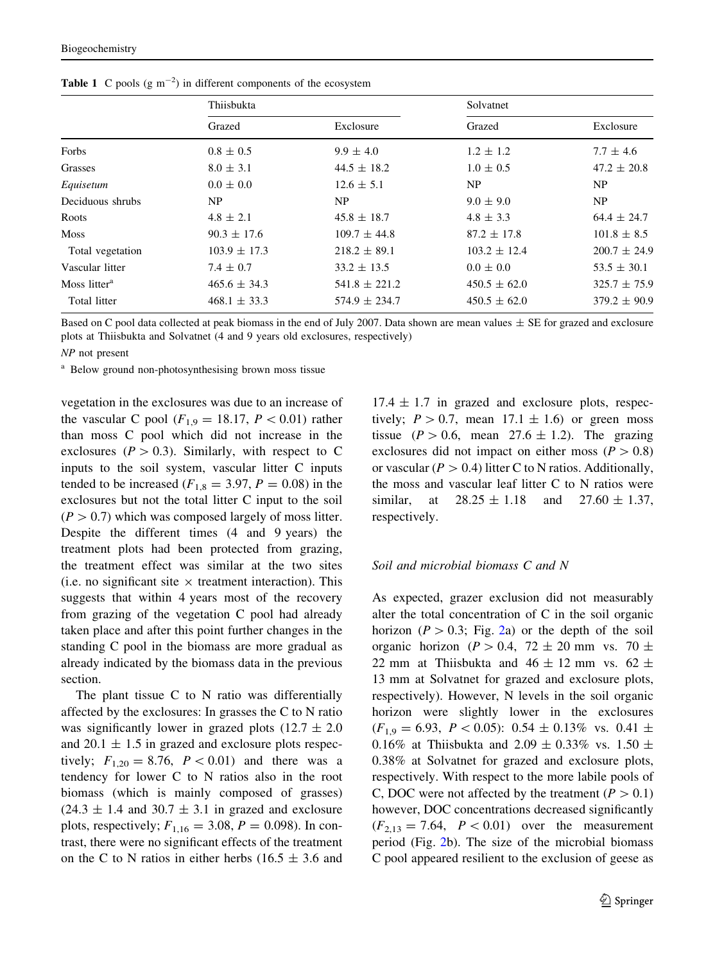|                          | Thiisbukta       |                   | Solvatnet        |                  |  |
|--------------------------|------------------|-------------------|------------------|------------------|--|
|                          | Grazed           | Exclosure         | Grazed           | Exclosure        |  |
| Forbs                    | $0.8 \pm 0.5$    | $9.9 \pm 4.0$     | $1.2 \pm 1.2$    | $7.7 \pm 4.6$    |  |
| Grasses                  | $8.0 \pm 3.1$    | $44.5 \pm 18.2$   | $1.0 \pm 0.5$    | $47.2 \pm 20.8$  |  |
| Equisetum                | $0.0 \pm 0.0$    | $12.6 \pm 5.1$    | NP               | NP               |  |
| Deciduous shrubs         | NP.              | NP                | $9.0 \pm 9.0$    | NP               |  |
| Roots                    | $4.8 \pm 2.1$    | $45.8 \pm 18.7$   | $4.8 \pm 3.3$    | $64.4 \pm 24.7$  |  |
| <b>Moss</b>              | $90.3 \pm 17.6$  | $109.7 \pm 44.8$  | $87.2 \pm 17.8$  | $101.8 \pm 8.5$  |  |
| Total vegetation         | $103.9 \pm 17.3$ | $218.2 \pm 89.1$  | $103.2 \pm 12.4$ | $200.7 \pm 24.9$ |  |
| Vascular litter          | $7.4 \pm 0.7$    | $33.2 \pm 13.5$   | $0.0 \pm 0.0$    | $53.5 \pm 30.1$  |  |
| Moss litter <sup>a</sup> | $465.6 \pm 34.3$ | $541.8 \pm 221.2$ | $450.5 \pm 62.0$ | $325.7 \pm 75.9$ |  |
| Total litter             | $468.1 \pm 33.3$ | $574.9 \pm 234.7$ | $450.5 \pm 62.0$ | $379.2 \pm 90.9$ |  |

<span id="page-6-0"></span>**Table 1** C pools  $(g \text{ m}^{-2})$  in different components of the ecosystem

Based on C pool data collected at peak biomass in the end of July 2007. Data shown are mean values  $\pm$  SE for grazed and exclosure plots at Thiisbukta and Solvatnet (4 and 9 years old exclosures, respectively)

NP not present

<sup>a</sup> Below ground non-photosynthesising brown moss tissue

vegetation in the exclosures was due to an increase of the vascular C pool ( $F_{1,9} = 18.17$ ,  $P \lt 0.01$ ) rather than moss C pool which did not increase in the exclosures ( $P > 0.3$ ). Similarly, with respect to C inputs to the soil system, vascular litter C inputs tended to be increased ( $F_{1,8} = 3.97, P = 0.08$ ) in the exclosures but not the total litter C input to the soil  $(P > 0.7)$  which was composed largely of moss litter. Despite the different times (4 and 9 years) the treatment plots had been protected from grazing, the treatment effect was similar at the two sites (i.e. no significant site  $\times$  treatment interaction). This suggests that within 4 years most of the recovery from grazing of the vegetation C pool had already taken place and after this point further changes in the standing C pool in the biomass are more gradual as already indicated by the biomass data in the previous section.

The plant tissue C to N ratio was differentially affected by the exclosures: In grasses the C to N ratio was significantly lower in grazed plots  $(12.7 \pm 2.0)$ and 20.1  $\pm$  1.5 in grazed and exclosure plots respectively;  $F_{1,20} = 8.76$ ,  $P < 0.01$ ) and there was a tendency for lower C to N ratios also in the root biomass (which is mainly composed of grasses)  $(24.3 \pm 1.4 \text{ and } 30.7 \pm 3.1 \text{ in } \text{grased} \text{ and } \text{exclosure})$ plots, respectively;  $F_{1,16} = 3.08, P = 0.098$ ). In contrast, there were no significant effects of the treatment on the C to N ratios in either herbs  $(16.5 \pm 3.6 \text{ and}$   $17.4 \pm 1.7$  in grazed and exclosure plots, respectively;  $P > 0.7$ , mean  $17.1 \pm 1.6$ ) or green moss tissue ( $P > 0.6$ , mean  $27.6 \pm 1.2$ ). The grazing exclosures did not impact on either moss ( $P > 0.8$ ) or vascular ( $P > 0.4$ ) litter C to N ratios. Additionally, the moss and vascular leaf litter C to N ratios were similar, at  $28.25 \pm 1.18$  and  $27.60 \pm 1.37$ , respectively.

### Soil and microbial biomass C and N

As expected, grazer exclusion did not measurably alter the total concentration of C in the soil organic horizon ( $P > 0.3$ ; Fig. [2a](#page-7-0)) or the depth of the soil organic horizon ( $P > 0.4$ , 72 ± 20 mm vs. 70 ± 22 mm at Thiisbukta and  $46 \pm 12$  mm vs.  $62 \pm$ 13 mm at Solvatnet for grazed and exclosure plots, respectively). However, N levels in the soil organic horizon were slightly lower in the exclosures  $(F_{1,9} = 6.93, P < 0.05)$ :  $0.54 \pm 0.13\%$  vs.  $0.41 \pm 0.13\%$ 0.16% at Thiisbukta and 2.09  $\pm$  0.33% vs. 1.50  $\pm$ 0.38% at Solvatnet for grazed and exclosure plots, respectively. With respect to the more labile pools of C, DOC were not affected by the treatment ( $P > 0.1$ ) however, DOC concentrations decreased significantly  $(F_{2,13} = 7.64, P < 0.01)$  over the measurement period (Fig. [2b](#page-7-0)). The size of the microbial biomass C pool appeared resilient to the exclusion of geese as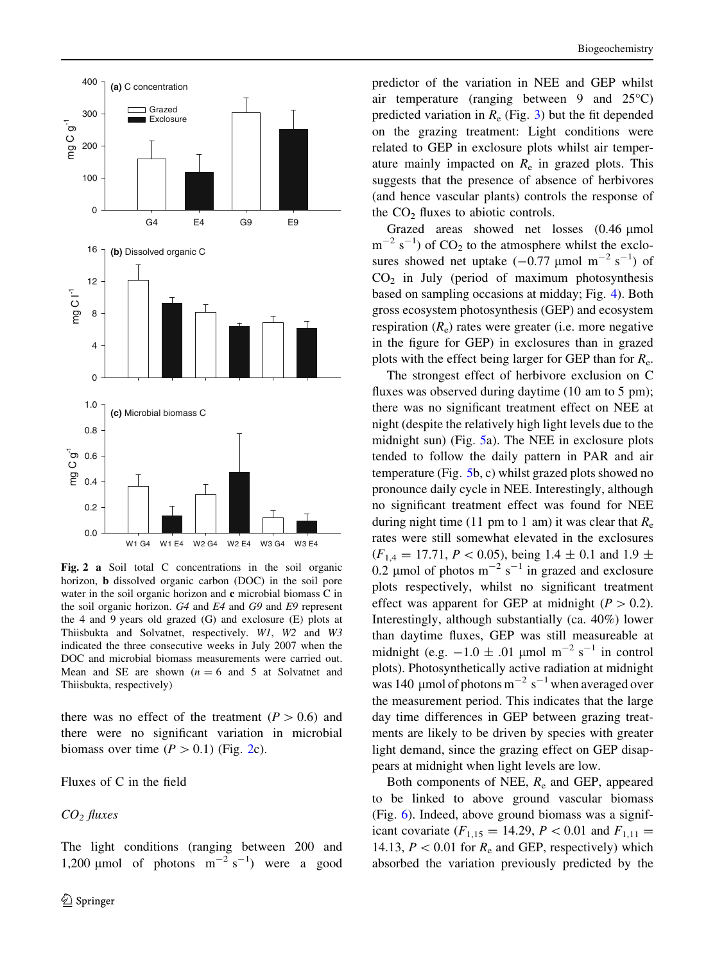<span id="page-7-0"></span>

Fig. 2 a Soil total C concentrations in the soil organic horizon, b dissolved organic carbon (DOC) in the soil pore water in the soil organic horizon and **c** microbial biomass C in the soil organic horizon. G4 and E4 and G9 and E9 represent the 4 and 9 years old grazed (G) and exclosure (E) plots at Thiisbukta and Solvatnet, respectively. W1, W2 and W3 indicated the three consecutive weeks in July 2007 when the DOC and microbial biomass measurements were carried out. Mean and SE are shown  $(n = 6$  and 5 at Solvatnet and Thiisbukta, respectively)

there was no effect of the treatment ( $P > 0.6$ ) and there were no significant variation in microbial biomass over time  $(P > 0.1)$  (Fig. 2c).

Fluxes of C in the field

 $CO<sub>2</sub> fluxes$ 

The light conditions (ranging between 200 and 1,200 µmol of photons  $m^{-2} s^{-1}$ ) were a good

predictor of the variation in NEE and GEP whilst air temperature (ranging between 9 and  $25^{\circ}$ C) predicted variation in  $R_e$  (Fig. [3\)](#page-8-0) but the fit depended on the grazing treatment: Light conditions were related to GEP in exclosure plots whilst air temperature mainly impacted on  $R_e$  in grazed plots. This suggests that the presence of absence of herbivores (and hence vascular plants) controls the response of the  $CO<sub>2</sub>$  fluxes to abiotic controls.

Grazed areas showed net losses (0.46 µmol  $m^{-2}$  s<sup>-1</sup>) of CO<sub>2</sub> to the atmosphere whilst the exclosures showed net uptake  $(-0.77 \text{ }\mu\text{mol m}^{-2} \text{ s}^{-1})$  of  $CO<sub>2</sub>$  in July (period of maximum photosynthesis based on sampling occasions at midday; Fig. [4\)](#page-8-0). Both gross ecosystem photosynthesis (GEP) and ecosystem respiration  $(R_e)$  rates were greater (i.e. more negative in the figure for GEP) in exclosures than in grazed plots with the effect being larger for GEP than for  $R_{e}$ .

The strongest effect of herbivore exclusion on C fluxes was observed during daytime (10 am to 5 pm); there was no significant treatment effect on NEE at night (despite the relatively high light levels due to the midnight sun) (Fig. [5](#page-9-0)a). The NEE in exclosure plots tended to follow the daily pattern in PAR and air temperature (Fig. [5](#page-9-0)b, c) whilst grazed plots showed no pronounce daily cycle in NEE. Interestingly, although no significant treatment effect was found for NEE during night time (11 pm to 1 am) it was clear that  $R_e$ rates were still somewhat elevated in the exclosures  $(F_{1,4} = 17.71, P \lt 0.05)$ , being 1.4  $\pm$  0.1 and 1.9  $\pm$ 0.2 µmol of photos  $m^{-2}$  s<sup>-1</sup> in grazed and exclosure plots respectively, whilst no significant treatment effect was apparent for GEP at midnight ( $P > 0.2$ ). Interestingly, although substantially (ca. 40%) lower than daytime fluxes, GEP was still measureable at midnight (e.g.  $-1.0 \pm .01$  µmol m<sup>-2</sup> s<sup>-1</sup> in control plots). Photosynthetically active radiation at midnight was 140  $\mu$ mol of photons m<sup>-2</sup> s<sup>-1</sup> when averaged over the measurement period. This indicates that the large day time differences in GEP between grazing treatments are likely to be driven by species with greater light demand, since the grazing effect on GEP disappears at midnight when light levels are low.

Both components of NEE,  $R_e$  and GEP, appeared to be linked to above ground vascular biomass (Fig. [6](#page-10-0)). Indeed, above ground biomass was a significant covariate ( $F_{1,15} = 14.29$ ,  $P < 0.01$  and  $F_{1,11} =$ 14.13,  $P < 0.01$  for  $R_e$  and GEP, respectively) which absorbed the variation previously predicted by the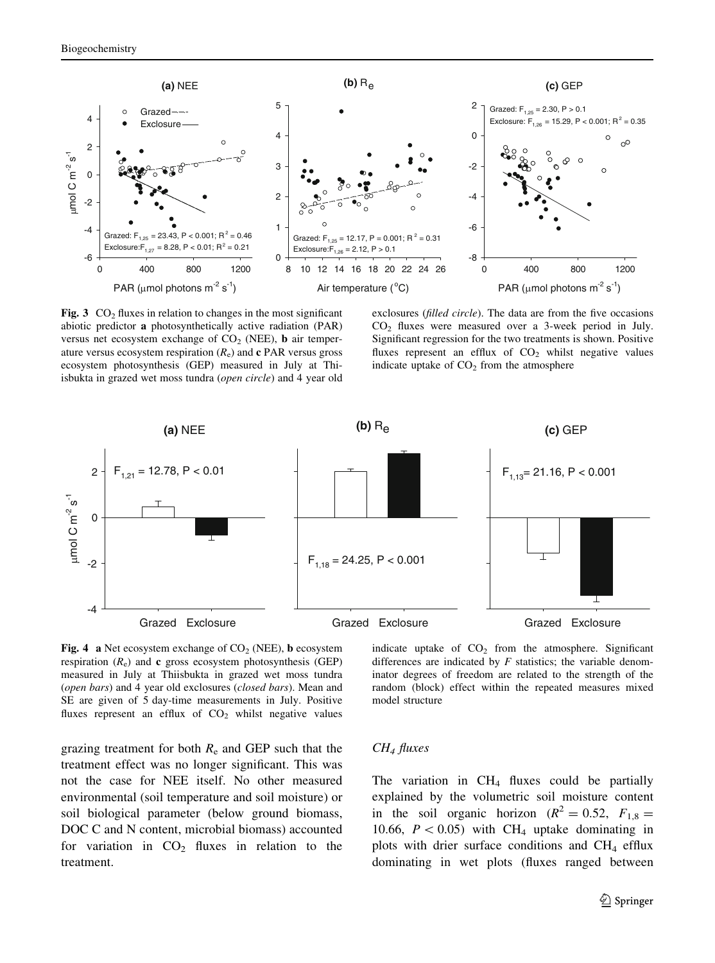<span id="page-8-0"></span>

Fig. 3  $CO<sub>2</sub>$  fluxes in relation to changes in the most significant abiotic predictor a photosynthetically active radiation (PAR) versus net ecosystem exchange of  $CO<sub>2</sub>$  (NEE), **b** air temperature versus ecosystem respiration  $(R_e)$  and c PAR versus gross ecosystem photosynthesis (GEP) measured in July at Thiisbukta in grazed wet moss tundra (open circle) and 4 year old

exclosures (filled circle). The data are from the five occasions CO2 fluxes were measured over a 3-week period in July. Significant regression for the two treatments is shown. Positive fluxes represent an efflux of  $CO<sub>2</sub>$  whilst negative values indicate uptake of  $CO<sub>2</sub>$  from the atmosphere



Fig. 4 a Net ecosystem exchange of  $CO<sub>2</sub>$  (NEE), b ecosystem respiration  $(R_e)$  and c gross ecosystem photosynthesis (GEP) measured in July at Thiisbukta in grazed wet moss tundra (open bars) and 4 year old exclosures (closed bars). Mean and SE are given of 5 day-time measurements in July. Positive fluxes represent an efflux of  $CO<sub>2</sub>$  whilst negative values

grazing treatment for both  $R_e$  and GEP such that the treatment effect was no longer significant. This was not the case for NEE itself. No other measured environmental (soil temperature and soil moisture) or soil biological parameter (below ground biomass, DOC C and N content, microbial biomass) accounted for variation in  $CO<sub>2</sub>$  fluxes in relation to the treatment.

# CH4 fluxes

model structure

The variation in  $CH<sub>4</sub>$  fluxes could be partially explained by the volumetric soil moisture content in the soil organic horizon ( $R^2 = 0.52$ ,  $F_{1,8} =$ 10.66,  $P < 0.05$ ) with CH<sub>4</sub> uptake dominating in plots with drier surface conditions and  $CH<sub>4</sub>$  efflux dominating in wet plots (fluxes ranged between

differences are indicated by  $F$  statistics; the variable denominator degrees of freedom are related to the strength of the random (block) effect within the repeated measures mixed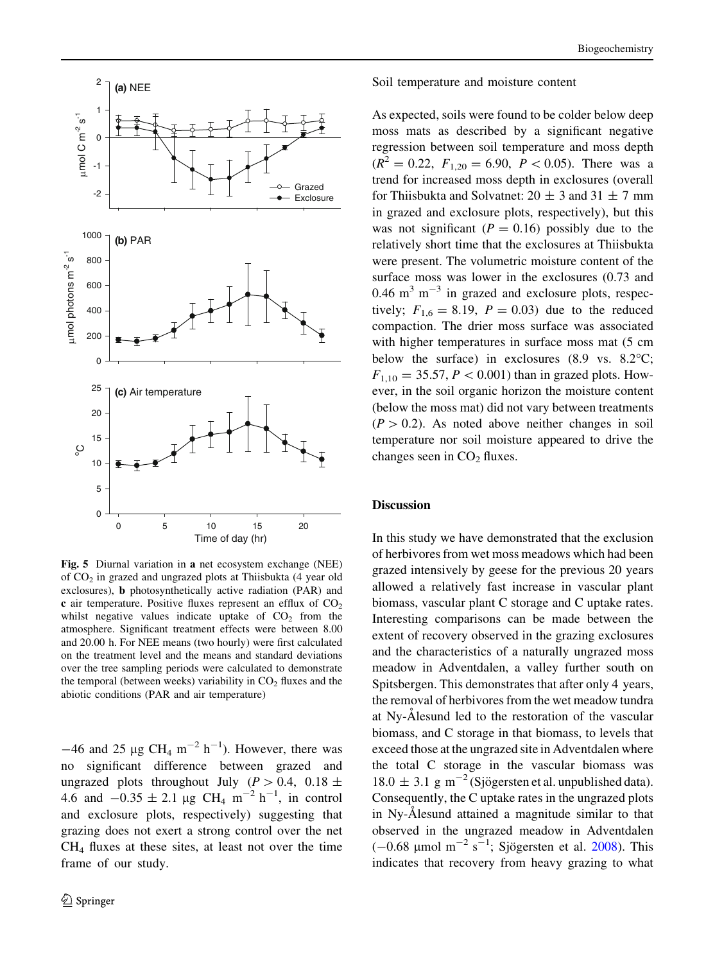<span id="page-9-0"></span>

Fig. 5 Diurnal variation in a net ecosystem exchange (NEE) of  $CO<sub>2</sub>$  in grazed and ungrazed plots at Thiisbukta (4 year old exclosures), b photosynthetically active radiation (PAR) and  $\bf{c}$  air temperature. Positive fluxes represent an efflux of  $\rm{CO}_2$ whilst negative values indicate uptake of  $CO<sub>2</sub>$  from the atmosphere. Significant treatment effects were between 8.00 and 20.00 h. For NEE means (two hourly) were first calculated on the treatment level and the means and standard deviations over the tree sampling periods were calculated to demonstrate the temporal (between weeks) variability in  $CO<sub>2</sub>$  fluxes and the abiotic conditions (PAR and air temperature)

 $-46$  and 25 µg CH<sub>4</sub> m<sup>-2</sup> h<sup>-1</sup>). However, there was no significant difference between grazed and ungrazed plots throughout July ( $P > 0.4$ , 0.18  $\pm$ 4.6 and  $-0.35 \pm 2.1 \,\mu g$  CH<sub>4</sub> m<sup>-2</sup> h<sup>-1</sup>, in control and exclosure plots, respectively) suggesting that grazing does not exert a strong control over the net CH4 fluxes at these sites, at least not over the time frame of our study.

Soil temperature and moisture content

As expected, soils were found to be colder below deep moss mats as described by a significant negative regression between soil temperature and moss depth  $(R^{2} = 0.22, F_{1,20} = 6.90, P < 0.05)$ . There was a trend for increased moss depth in exclosures (overall for Thiisbukta and Solvatnet:  $20 \pm 3$  and  $31 \pm 7$  mm in grazed and exclosure plots, respectively), but this was not significant ( $P = 0.16$ ) possibly due to the relatively short time that the exclosures at Thiisbukta were present. The volumetric moisture content of the surface moss was lower in the exclosures (0.73 and  $0.46$  m<sup>3</sup> m<sup>-3</sup> in grazed and exclosure plots, respectively;  $F_{1,6} = 8.19$ ,  $P = 0.03$ ) due to the reduced compaction. The drier moss surface was associated with higher temperatures in surface moss mat  $(5 \text{ cm})$ below the surface) in exclosures  $(8.9 \text{ vs. } 8.2^{\circ}\text{C})$ ;  $F_{1,10} = 35.57, P < 0.001$  than in grazed plots. However, in the soil organic horizon the moisture content (below the moss mat) did not vary between treatments  $(P > 0.2)$ . As noted above neither changes in soil temperature nor soil moisture appeared to drive the changes seen in  $CO<sub>2</sub>$  fluxes.

# **Discussion**

In this study we have demonstrated that the exclusion of herbivores from wet moss meadows which had been grazed intensively by geese for the previous 20 years allowed a relatively fast increase in vascular plant biomass, vascular plant C storage and C uptake rates. Interesting comparisons can be made between the extent of recovery observed in the grazing exclosures and the characteristics of a naturally ungrazed moss meadow in Adventdalen, a valley further south on Spitsbergen. This demonstrates that after only 4 years, the removal of herbivores from the wet meadow tundra at Ny-Ålesund led to the restoration of the vascular biomass, and C storage in that biomass, to levels that exceed those at the ungrazed site in Adventdalen where the total C storage in the vascular biomass was  $18.0 \pm 3.1 \text{ g m}^{-2}$  (Sjögersten et al. unpublished data). Consequently, the C uptake rates in the ungrazed plots in Ny-Ålesund attained a magnitude similar to that observed in the ungrazed meadow in Adventdalen  $(-0.68 \text{ \mu mol m}^{-2} \text{ s}^{-1})$ ; Sjögersten et al. [2008\)](#page-13-0). This indicates that recovery from heavy grazing to what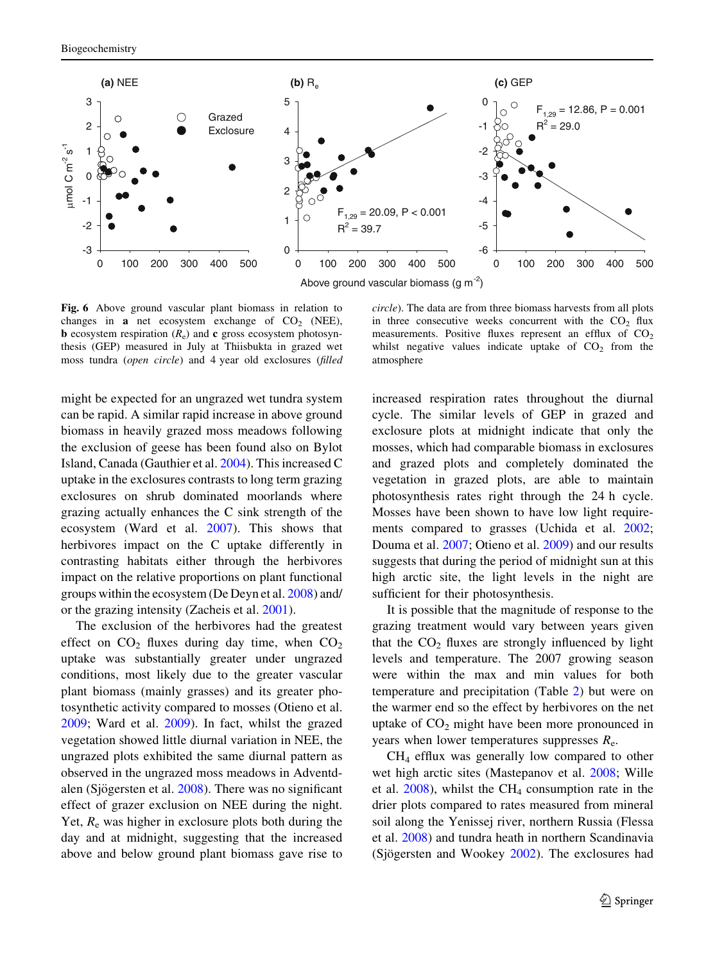<span id="page-10-0"></span>

Fig. 6 Above ground vascular plant biomass in relation to changes in **a** net ecosystem exchange of  $CO<sub>2</sub>$  (NEE), **b** ecosystem respiration  $(R_e)$  and **c** gross ecosystem photosynthesis (GEP) measured in July at Thiisbukta in grazed wet moss tundra (open circle) and 4 year old exclosures (filled

might be expected for an ungrazed wet tundra system can be rapid. A similar rapid increase in above ground biomass in heavily grazed moss meadows following the exclusion of geese has been found also on Bylot Island, Canada (Gauthier et al. [2004\)](#page-12-0). This increased C uptake in the exclosures contrasts to long term grazing exclosures on shrub dominated moorlands where grazing actually enhances the C sink strength of the ecosystem (Ward et al. [2007](#page-13-0)). This shows that herbivores impact on the C uptake differently in contrasting habitats either through the herbivores impact on the relative proportions on plant functional groups within the ecosystem (De Deyn et al. [2008\)](#page-12-0) and/ or the grazing intensity (Zacheis et al. [2001\)](#page-13-0).

The exclusion of the herbivores had the greatest effect on  $CO<sub>2</sub>$  fluxes during day time, when  $CO<sub>2</sub>$ uptake was substantially greater under ungrazed conditions, most likely due to the greater vascular plant biomass (mainly grasses) and its greater photosynthetic activity compared to mosses (Otieno et al. [2009;](#page-13-0) Ward et al. [2009\)](#page-13-0). In fact, whilst the grazed vegetation showed little diurnal variation in NEE, the ungrazed plots exhibited the same diurnal pattern as observed in the ungrazed moss meadows in Adventd-alen (Sjögersten et al. [2008\)](#page-13-0). There was no significant effect of grazer exclusion on NEE during the night. Yet,  $R_e$  was higher in exclosure plots both during the day and at midnight, suggesting that the increased above and below ground plant biomass gave rise to

circle). The data are from three biomass harvests from all plots in three consecutive weeks concurrent with the  $CO<sub>2</sub>$  flux measurements. Positive fluxes represent an efflux of  $CO<sub>2</sub>$ whilst negative values indicate uptake of  $CO<sub>2</sub>$  from the atmosphere

increased respiration rates throughout the diurnal cycle. The similar levels of GEP in grazed and exclosure plots at midnight indicate that only the mosses, which had comparable biomass in exclosures and grazed plots and completely dominated the vegetation in grazed plots, are able to maintain photosynthesis rates right through the 24 h cycle. Mosses have been shown to have low light requirements compared to grasses (Uchida et al. [2002](#page-13-0); Douma et al. [2007;](#page-12-0) Otieno et al. [2009\)](#page-13-0) and our results suggests that during the period of midnight sun at this high arctic site, the light levels in the night are sufficient for their photosynthesis.

It is possible that the magnitude of response to the grazing treatment would vary between years given that the  $CO<sub>2</sub>$  fluxes are strongly influenced by light levels and temperature. The 2007 growing season were within the max and min values for both temperature and precipitation (Table [2\)](#page-11-0) but were on the warmer end so the effect by herbivores on the net uptake of  $CO<sub>2</sub>$  might have been more pronounced in years when lower temperatures suppresses  $R_{e}$ .

CH4 efflux was generally low compared to other wet high arctic sites (Mastepanov et al. [2008;](#page-13-0) Wille et al.  $2008$ ), whilst the CH<sub>4</sub> consumption rate in the drier plots compared to rates measured from mineral soil along the Yenissej river, northern Russia (Flessa et al. [2008\)](#page-12-0) and tundra heath in northern Scandinavia (Sjögersten and Wookey  $2002$ ). The exclosures had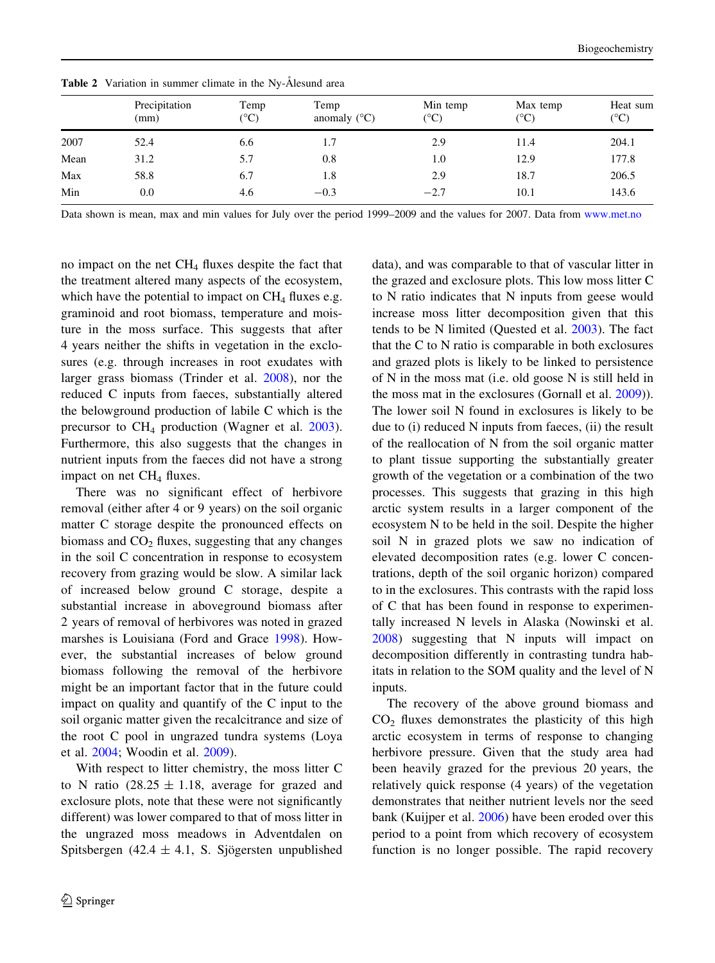|      | Precipitation<br>(mm) | Temp<br>(°C) | Temp<br>anomaly $(^{\circ}C)$ | Min temp<br>$(^\circ C)$ | Max temp<br>$({}^{\circ}{\rm C})$ | Heat sum<br>(°C) |
|------|-----------------------|--------------|-------------------------------|--------------------------|-----------------------------------|------------------|
| 2007 | 52.4                  | 6.6          | 1.7                           | 2.9                      | 11.4                              | 204.1            |
| Mean | 31.2                  | 5.7          | 0.8                           | 1.0                      | 12.9                              | 177.8            |
| Max  | 58.8                  | 6.7          | 1.8                           | 2.9                      | 18.7                              | 206.5            |
| Min  | 0.0                   | 4.6          | $-0.3$                        | $-2.7$                   | 10.1                              | 143.6            |

<span id="page-11-0"></span>Table 2 Variation in summer climate in the Ny-Ålesund area

Data shown is mean, max and min values for July over the period 1999–2009 and the values for 2007. Data from [www.met.no](http://www.met.no)

no impact on the net  $CH<sub>4</sub>$  fluxes despite the fact that the treatment altered many aspects of the ecosystem, which have the potential to impact on  $CH<sub>4</sub>$  fluxes e.g. graminoid and root biomass, temperature and moisture in the moss surface. This suggests that after 4 years neither the shifts in vegetation in the exclosures (e.g. through increases in root exudates with larger grass biomass (Trinder et al. [2008\)](#page-13-0), nor the reduced C inputs from faeces, substantially altered the belowground production of labile C which is the precursor to  $CH_4$  production (Wagner et al. [2003](#page-13-0)). Furthermore, this also suggests that the changes in nutrient inputs from the faeces did not have a strong impact on net  $CH<sub>4</sub>$  fluxes.

There was no significant effect of herbivore removal (either after 4 or 9 years) on the soil organic matter C storage despite the pronounced effects on biomass and  $CO<sub>2</sub>$  fluxes, suggesting that any changes in the soil C concentration in response to ecosystem recovery from grazing would be slow. A similar lack of increased below ground C storage, despite a substantial increase in aboveground biomass after 2 years of removal of herbivores was noted in grazed marshes is Louisiana (Ford and Grace [1998\)](#page-12-0). However, the substantial increases of below ground biomass following the removal of the herbivore might be an important factor that in the future could impact on quality and quantify of the C input to the soil organic matter given the recalcitrance and size of the root C pool in ungrazed tundra systems (Loya et al. [2004](#page-13-0); Woodin et al. [2009\)](#page-13-0).

With respect to litter chemistry, the moss litter C to N ratio (28.25  $\pm$  1.18, average for grazed and exclosure plots, note that these were not significantly different) was lower compared to that of moss litter in the ungrazed moss meadows in Adventdalen on Spitsbergen (42.4  $\pm$  4.1, S. Sjögersten unpublished data), and was comparable to that of vascular litter in the grazed and exclosure plots. This low moss litter C to N ratio indicates that N inputs from geese would increase moss litter decomposition given that this tends to be N limited (Quested et al. [2003](#page-13-0)). The fact that the C to N ratio is comparable in both exclosures and grazed plots is likely to be linked to persistence of N in the moss mat (i.e. old goose N is still held in the moss mat in the exclosures (Gornall et al. [2009](#page-12-0))). The lower soil N found in exclosures is likely to be due to (i) reduced N inputs from faeces, (ii) the result of the reallocation of N from the soil organic matter to plant tissue supporting the substantially greater growth of the vegetation or a combination of the two processes. This suggests that grazing in this high arctic system results in a larger component of the ecosystem N to be held in the soil. Despite the higher soil N in grazed plots we saw no indication of elevated decomposition rates (e.g. lower C concentrations, depth of the soil organic horizon) compared to in the exclosures. This contrasts with the rapid loss of C that has been found in response to experimentally increased N levels in Alaska (Nowinski et al. [2008\)](#page-13-0) suggesting that N inputs will impact on decomposition differently in contrasting tundra habitats in relation to the SOM quality and the level of N inputs.

The recovery of the above ground biomass and  $CO<sub>2</sub>$  fluxes demonstrates the plasticity of this high arctic ecosystem in terms of response to changing herbivore pressure. Given that the study area had been heavily grazed for the previous 20 years, the relatively quick response (4 years) of the vegetation demonstrates that neither nutrient levels nor the seed bank (Kuijper et al. [2006](#page-12-0)) have been eroded over this period to a point from which recovery of ecosystem function is no longer possible. The rapid recovery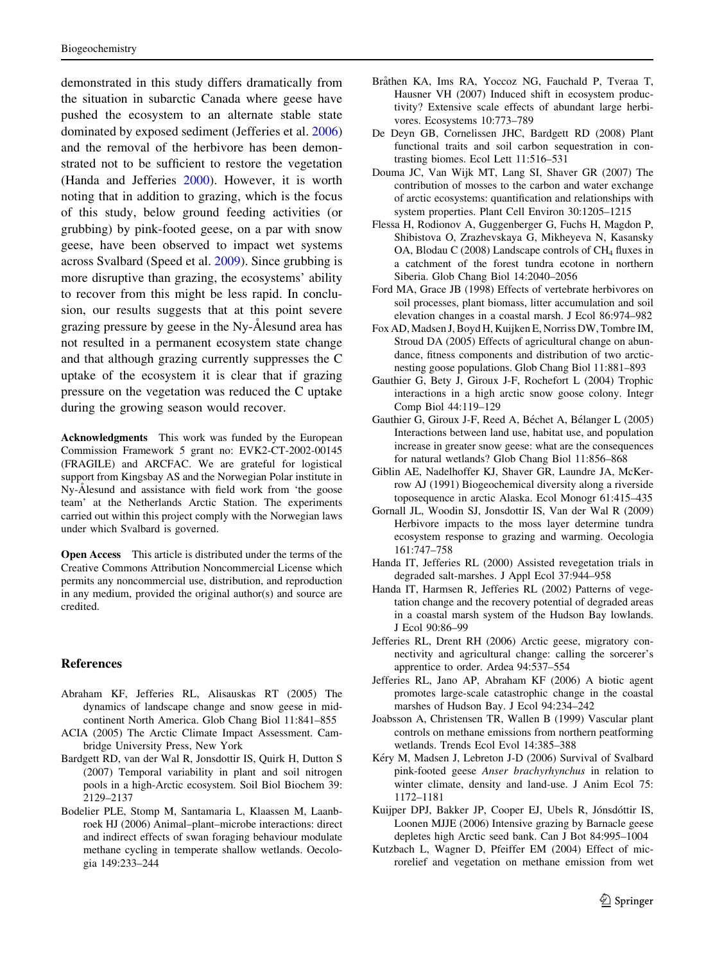<span id="page-12-0"></span>demonstrated in this study differs dramatically from the situation in subarctic Canada where geese have pushed the ecosystem to an alternate stable state dominated by exposed sediment (Jefferies et al. 2006) and the removal of the herbivore has been demonstrated not to be sufficient to restore the vegetation (Handa and Jefferies 2000). However, it is worth noting that in addition to grazing, which is the focus of this study, below ground feeding activities (or grubbing) by pink-footed geese, on a par with snow geese, have been observed to impact wet systems across Svalbard (Speed et al. [2009](#page-13-0)). Since grubbing is more disruptive than grazing, the ecosystems' ability to recover from this might be less rapid. In conclusion, our results suggests that at this point severe grazing pressure by geese in the Ny-Ålesund area has not resulted in a permanent ecosystem state change and that although grazing currently suppresses the C uptake of the ecosystem it is clear that if grazing pressure on the vegetation was reduced the C uptake during the growing season would recover.

Acknowledgments This work was funded by the European Commission Framework 5 grant no: EVK2-CT-2002-00145 (FRAGILE) and ARCFAC. We are grateful for logistical support from Kingsbay AS and the Norwegian Polar institute in Ny-Ålesund and assistance with field work from 'the goose team' at the Netherlands Arctic Station. The experiments carried out within this project comply with the Norwegian laws under which Svalbard is governed.

Open Access This article is distributed under the terms of the Creative Commons Attribution Noncommercial License which permits any noncommercial use, distribution, and reproduction in any medium, provided the original author(s) and source are credited.

#### References

- Abraham KF, Jefferies RL, Alisauskas RT (2005) The dynamics of landscape change and snow geese in midcontinent North America. Glob Chang Biol 11:841–855
- ACIA (2005) The Arctic Climate Impact Assessment. Cambridge University Press, New York
- Bardgett RD, van der Wal R, Jonsdottir IS, Quirk H, Dutton S (2007) Temporal variability in plant and soil nitrogen pools in a high-Arctic ecosystem. Soil Biol Biochem 39: 2129–2137
- Bodelier PLE, Stomp M, Santamaria L, Klaassen M, Laanbroek HJ (2006) Animal–plant–microbe interactions: direct and indirect effects of swan foraging behaviour modulate methane cycling in temperate shallow wetlands. Oecologia 149:233–244
- Bråthen KA, Ims RA, Yoccoz NG, Fauchald P, Tveraa T, Hausner VH (2007) Induced shift in ecosystem productivity? Extensive scale effects of abundant large herbivores. Ecosystems 10:773–789
- De Deyn GB, Cornelissen JHC, Bardgett RD (2008) Plant functional traits and soil carbon sequestration in contrasting biomes. Ecol Lett 11:516–531
- Douma JC, Van Wijk MT, Lang SI, Shaver GR (2007) The contribution of mosses to the carbon and water exchange of arctic ecosystems: quantification and relationships with system properties. Plant Cell Environ 30:1205–1215
- Flessa H, Rodionov A, Guggenberger G, Fuchs H, Magdon P, Shibistova O, Zrazhevskaya G, Mikheyeva N, Kasansky OA, Blodau C (2008) Landscape controls of  $CH<sub>4</sub>$  fluxes in a catchment of the forest tundra ecotone in northern Siberia. Glob Chang Biol 14:2040–2056
- Ford MA, Grace JB (1998) Effects of vertebrate herbivores on soil processes, plant biomass, litter accumulation and soil elevation changes in a coastal marsh. J Ecol 86:974–982
- Fox AD, Madsen J, Boyd H, Kuijken E, Norriss DW, Tombre IM, Stroud DA (2005) Effects of agricultural change on abundance, fitness components and distribution of two arcticnesting goose populations. Glob Chang Biol 11:881–893
- Gauthier G, Bety J, Giroux J-F, Rochefort L (2004) Trophic interactions in a high arctic snow goose colony. Integr Comp Biol 44:119–129
- Gauthier G, Giroux J-F, Reed A, Béchet A, Bélanger L (2005) Interactions between land use, habitat use, and population increase in greater snow geese: what are the consequences for natural wetlands? Glob Chang Biol 11:856–868
- Giblin AE, Nadelhoffer KJ, Shaver GR, Laundre JA, McKerrow AJ (1991) Biogeochemical diversity along a riverside toposequence in arctic Alaska. Ecol Monogr 61:415–435
- Gornall JL, Woodin SJ, Jonsdottir IS, Van der Wal R (2009) Herbivore impacts to the moss layer determine tundra ecosystem response to grazing and warming. Oecologia 161:747–758
- Handa IT, Jefferies RL (2000) Assisted revegetation trials in degraded salt-marshes. J Appl Ecol 37:944–958
- Handa IT, Harmsen R, Jefferies RL (2002) Patterns of vegetation change and the recovery potential of degraded areas in a coastal marsh system of the Hudson Bay lowlands. J Ecol 90:86–99
- Jefferies RL, Drent RH (2006) Arctic geese, migratory connectivity and agricultural change: calling the sorcerer's apprentice to order. Ardea 94:537–554
- Jefferies RL, Jano AP, Abraham KF (2006) A biotic agent promotes large-scale catastrophic change in the coastal marshes of Hudson Bay. J Ecol 94:234–242
- Joabsson A, Christensen TR, Wallen B (1999) Vascular plant controls on methane emissions from northern peatforming wetlands. Trends Ecol Evol 14:385–388
- Kéry M, Madsen J, Lebreton J-D (2006) Survival of Svalbard pink-footed geese Anser brachyrhynchus in relation to winter climate, density and land-use. J Anim Ecol 75: 1172–1181
- Kuijper DPJ, Bakker JP, Cooper EJ, Ubels R, Jónsdóttir IS, Loonen MJJE (2006) Intensive grazing by Barnacle geese depletes high Arctic seed bank. Can J Bot 84:995–1004
- Kutzbach L, Wagner D, Pfeiffer EM (2004) Effect of microrelief and vegetation on methane emission from wet